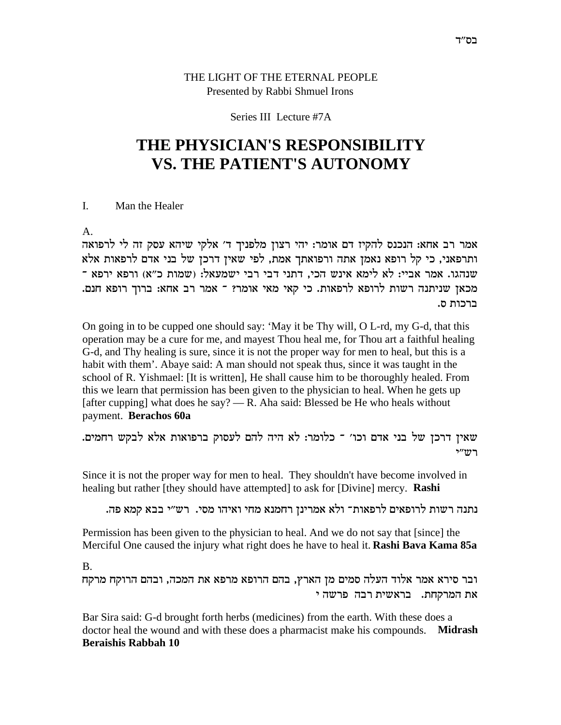# THE LIGHT OF THE ETERNAL PEOPLE Presented by Rabbi Shmuel Irons

## Series III Lecture #7A

# THE PHYSICIAN'S RESPONSIBILITY **VS. THE PATIENT'S AUTONOMY**

#### $\mathbf{L}$ Man the Healer

 $A<sub>1</sub>$ 

אמר רב אחא: הנכנס להקיז דם אומר: יהי רצון מלפניך ד׳ אלקי שיהא עסק זה לי לרפואה ותרפאני, כי קל רופא נאמן אתה ורפואתך אמת, לפי שאין דרכן של בני אדם לרפאות אלא שנהגו. אמר אביי: לא לימא אינש הכי, דתני דבי רבי ישמעאל: (שמות כ"א) ורפא ירפא ־ מכאן שניתנה רשות לרופא לרפאות. כי קאי מאי אומר? ־ אמר רב אחא: ברוך רופא חנם. ברכות ס.

On going in to be cupped one should say: 'May it be Thy will, O L-rd, my G-d, that this operation may be a cure for me, and mayest Thou heal me, for Thou art a faithful healing G-d, and Thy healing is sure, since it is not the proper way for men to heal, but this is a habit with them'. Abaye said: A man should not speak thus, since it was taught in the school of R. Yishmael: [It is written], He shall cause him to be thoroughly healed. From this we learn that permission has been given to the physician to heal. When he gets up [after cupping] what does he say? — R. Aha said: Blessed be He who heals without payment. Berachos 60a

שאין דרכן של בני אדם וכו׳ ־ כלומר: לא היה להם לעסוק ברפואות אלא לבקש רחמים. רש״י

Since it is not the proper way for men to heal. They shouldn't have become involved in healing but rather [they should have attempted] to ask for [Divine] mercy. Rashi

נתנה רשות לרופאים לרפאות־ ולא אמרינן רחמנא מחי ואיהו מסי. רש״י בבא קמא פה.

Permission has been given to the physician to heal. And we do not say that [since] the Merciful One caused the injury what right does he have to heal it. **Rashi Bava Kama 85a** 

 $\mathbf{B}$ 

ובר סירא אמר אלוד העלה סמים מן הארץ, בהם הרופא מרפא את המכה, ובהם הרוקח מרקח את המרקחת. בראשית רבה פרשה י

Bar Sira said: G-d brought forth herbs (medicines) from the earth. With these does a doctor heal the wound and with these does a pharmacist make his compounds. Midrash **Beraishis Rabbah 10**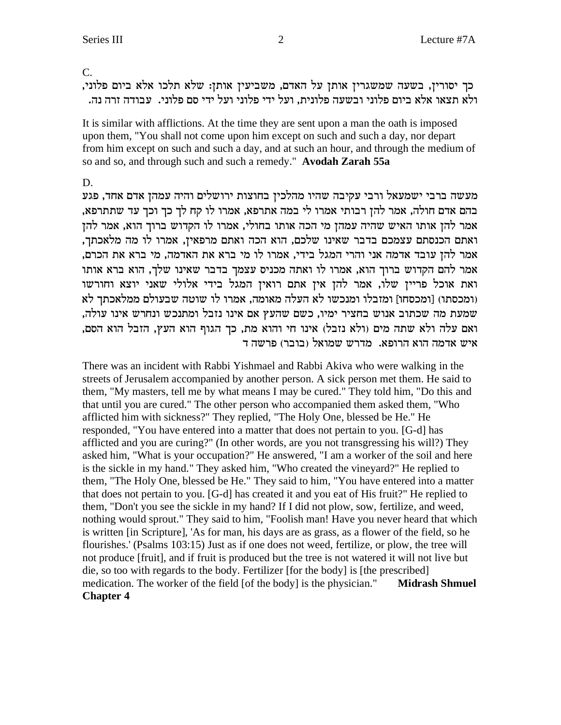$\overline{C}$ .

כך יסורין, בשעה שמשגרין אותן על האדם, משביעין אותן: שלא תלכו אלא ביום פלוני, ולא תצאו אלא ביום פלוני ובשעה פלונית, ועל ידי פלוני ועל ידי סם פלוני. עבודה זרה נה.

It is similar with afflictions. At the time they are sent upon a man the oath is imposed upon them, "You shall not come upon him except on such and such a day, nor depart from him except on such and such a day, and at such an hour, and through the medium of so and so, and through such and such a remedy." Avodah Zarah 55a

D.

מעשה ברבי ישמעאל ורבי עקיבה שהיו מהלכין בחוצות ירושלים והיה עמהן אדם אחד, פגע בהם אדם חולה, אמר להן רבותי אמרו לי במה אתרפא, אמרו לו קח לך כך וכך עד שתתרפא, אמר להן אותו האיש שהיה עמהן מי הכה אותו בחולי, אמרו לו הקדוש ברוך הוא, אמר להן ואתם הכנסתם עצמכם בדבר שאינו שלכם, הוא הכה ואתם מרפאין, אמרו לו מה מלאכתך, אמר להן עובד אדמה אני והרי המגל בידי, אמרו לו מי ברא את האדמה, מי ברא את הכרם, אמר להם הקדוש ברוך הוא, אמרו לו ואתה מכניס עצמך בדבר שאינו שלך, הוא ברא אותו ואת אוכל פריין שלו, אמר להן אין אתם רואין המגל בידי אלולי שאני יוצא וחורשו (ומכסתו) [ומכסחו] ומזבלו ומנכשו לא העלה מאומה, אמרו לו שוטה שבעולם ממלאכתך לא שמעת מה שכתוב אנוש בחציר ימיו, כשם שהעץ אם אינו נזבל ומתנכש ונחרש אינו עולה, ואם עלה ולא שתה מים (ולא נזבל) אינו חי והוא מת, כך הגוף הוא העץ, הזבל הוא הסם, איש אדמה הוא הרופא. מדרש שמואל (בובר) פרשה ד

There was an incident with Rabbi Yishmael and Rabbi Akiva who were walking in the streets of Jerusalem accompanied by another person. A sick person met them. He said to them, "My masters, tell me by what means I may be cured." They told him, "Do this and that until you are cured." The other person who accompanied them asked them, "Who afflicted him with sickness?" They replied, "The Holy One, blessed be He." He responded, "You have entered into a matter that does not pertain to you. [G-d] has afflicted and you are curing?" (In other words, are you not transgressing his will?) They asked him, "What is your occupation?" He answered, "I am a worker of the soil and here is the sickle in my hand." They asked him, "Who created the vineyard?" He replied to them, "The Holy One, blessed be He." They said to him, "You have entered into a matter that does not pertain to you. [G-d] has created it and you eat of His fruit?" He replied to them, "Don't you see the sickle in my hand? If I did not plow, sow, fertilize, and weed, nothing would sprout." They said to him, "Foolish man! Have you never heard that which is written [in Scripture], 'As for man, his days are as grass, as a flower of the field, so he flourishes.' (Psalms 103:15) Just as if one does not weed, fertilize, or plow, the tree will not produce [fruit], and if fruit is produced but the tree is not watered it will not live but die, so too with regards to the body. Fertilizer [for the body] is [the prescribed] medication. The worker of the field [of the body] is the physician." **Midrash Shmuel Chapter 4**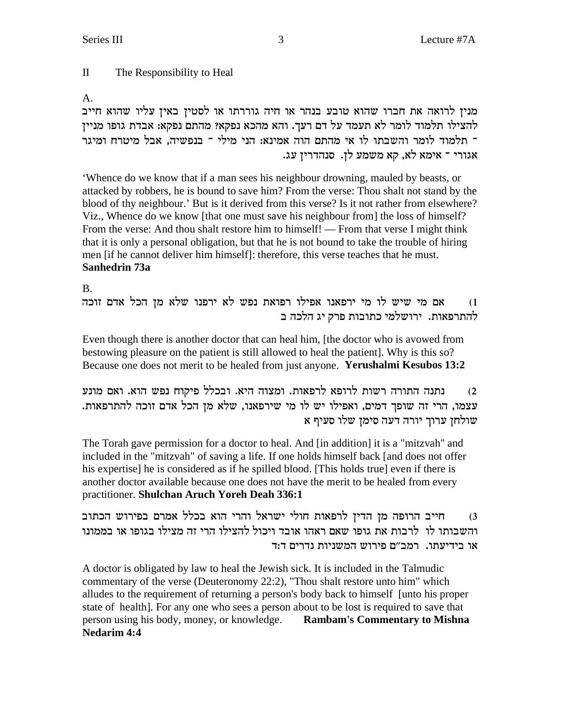$\mathbf{I}$ The Responsibility to Heal

 $A<sub>1</sub>$ 

מנין לרואה את חברו שהוא טובע בנהר או חיה גוררתו או לסטין באין עליו שהוא חייב להצילו תלמוד לומר לא תעמד על דם רעך. והא מהכא נפקא? מהתם נפקא: אבדת גופו מניין ־ תלמוד לומר והשבתו לו אי מהתם הוה אמינא: הני מילי ־ בנפשיה, אבל מיטרח ומיגר אגורי ־ אימא לא, קא משמע לן. סנהדרין עג.

'Whence do we know that if a man sees his neighbour drowning, mauled by beasts, or attacked by robbers, he is bound to save him? From the verse: Thou shalt not stand by the blood of thy neighbour.' But is it derived from this verse? Is it not rather from elsewhere? Viz., Whence do we know [that one must save his neighbour from] the loss of himself? From the verse: And thou shalt restore him to himself! — From that verse I might think that it is only a personal obligation, but that he is not bound to take the trouble of hiring men [if he cannot deliver him himself]: therefore, this verse teaches that he must. Sanhedrin 73a

 $B<sub>1</sub>$ 

אם מי שיש לו מי ירפאנו אפילו רפואת נפש לא ירפנו שלא מן הכל אדם זוכה  $(1)$ להתרפאות. ירושלמי כתובות פרק יג הלכה ב

Even though there is another doctor that can heal him, [the doctor who is avowed from bestowing pleasure on the patient is still allowed to heal the patient. Why is this so? Because one does not merit to be healed from just anyone. Yerushalmi Kesubos 13:2

נתנה התורה רשות לרופא לרפאות. ומצוה היא. ובכלל פיקוח נפש הוא. ואם מונע  $(2)$ עצמו, הרי זה שופך דמים, ואפילו יש לו מי שירפאנו, שלא מן הכל אדם זוכה להתרפאות. 

The Torah gave permission for a doctor to heal. And [in addition] it is a "mitzvah" and included in the "mitzvah" of saving a life. If one holds himself back [and does not offer his expertise] he is considered as if he spilled blood. [This holds true] even if there is another doctor available because one does not have the merit to be healed from every practitioner. Shulchan Aruch Yoreh Deah 336:1

חייב הרופה מן הדין לרפאות חולי ישראל והרי הוא בכלל אמרם בפירוש הכתוב  $(3)$ והשבותו לו לרבות את גופו שאם ראהו אובד ויכול להצילו הרי זה מצילו בגופו או בממונו או בידיעתו. רמב"ם פירוש המשניות נדרים ד:ד

A doctor is obligated by law to heal the Jewish sick. It is included in the Talmudic commentary of the verse (Deuteronomy 22:2), "Thou shalt restore unto him" which alludes to the requirement of returning a person's body back to himself [unto his proper state of health]. For any one who sees a person about to be lost is required to save that person using his body, money, or knowledge. Rambam's Commentary to Mishna **Nedarim 4:4**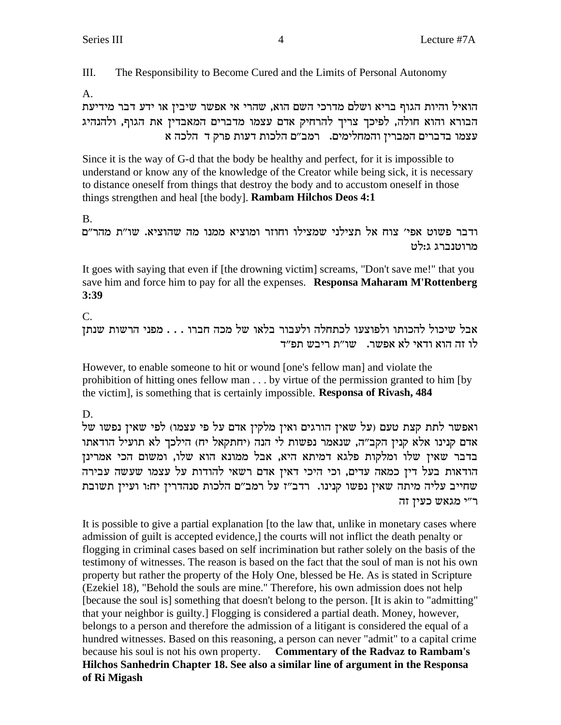III. The Responsibility to Become Cured and the Limits of Personal Autonomy

 $A<sub>1</sub>$ 

הואיל והיות הגוף בריא ושלם מדרכי השם הוא, שהרי אי אפשר שיבין או ידע דבר מידיעת הבורא והוא חולה, לפיכך צריך להרחיק אדם עצמו מדברים המאבדין את הגוף, ולהנהיג עצמו בדברים המברין והמחלימים. רמב"ם הלכות דעות פרק ד הלכה א

Since it is the way of G-d that the body be healthy and perfect, for it is impossible to understand or know any of the knowledge of the Creator while being sick, it is necessary to distance oneself from things that destroy the body and to accustom oneself in those things strengthen and heal [the body]. **Rambam Hilchos Deos 4:1** 

 $B<sub>1</sub>$ 

ודבר פשוט אפי׳ צוח אל תצילני שמצילו וחוזר ומוציא ממנו מה שהוציא. שו״ת מהר״ם מרוטנברג ג:לט

It goes with saying that even if [the drowning victim] screams, "Don't save me!" that you save him and force him to pay for all the expenses. Responsa Maharam M'Rottenberg  $3:39$ 

 $C_{\cdot}$ 

אבל שיכול להכותו ולפוצעו לכתחלה ולעבור בלאו של מכה חברו . . . מפני הרשות שנתז לו זה הוא ודאי לא אפשר. - שו״ת ריבש תפ״ד

However, to enable someone to hit or wound [one's fellow man] and violate the prohibition of hitting ones fellow man . . . by virtue of the permission granted to him [by the victim], is something that is certainly impossible. Responsa of Rivash, 484

D.

ואפשר לתת קצת טעם (על שאין הורגים ואין מלקין אדם על פי עצמו) לפי שאין נפשו של אדם קנינו אלא קנין הקב"ה, שנאמר נפשות לי הנה (יחתקאל יח) הילכך לא תועיל הודאתו בדבר שאין שלו ומלקות פלגא דמיתא היא, אבל ממונא הוא שלו, ומשום הכי אמרינן הודאות בעל דין כמאה עדים, וכי היכי דאין אדם רשאי להודות על עצמו שעשה עבירה שחייב עליה מיתה שאין נפשו קנינו. רדב"ז על רמב"ם הלכות סנהדרין יחזו ועיין תשובת ר"י מגאש כעין זה

It is possible to give a partial explanation [to the law that, unlike in monetary cases where admission of guilt is accepted evidence, the courts will not inflict the death penalty or flogging in criminal cases based on self incrimination but rather solely on the basis of the testimony of witnesses. The reason is based on the fact that the soul of man is not his own property but rather the property of the Holy One, blessed be He. As is stated in Scripture (Ezekiel 18), "Behold the souls are mine." Therefore, his own admission does not help [because the soul is] something that doesn't belong to the person. [It is akin to "admitting" that your neighbor is guilty.] Flogging is considered a partial death. Money, however, belongs to a person and therefore the admission of a litigant is considered the equal of a hundred witnesses. Based on this reasoning, a person can never "admit" to a capital crime because his soul is not his own property. Commentary of the Radvaz to Rambam's Hilchos Sanhedrin Chapter 18. See also a similar line of argument in the Responsa of Ri Migash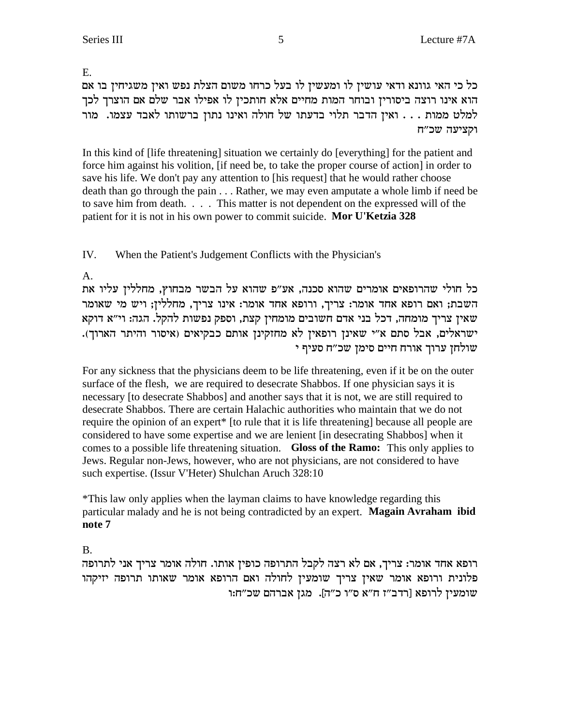E.

כל כי האי גוונא ודאי עושין לו ומעשין לו בעל כרחו משום הצלת נפש ואין משגיחין בו אם הוא אינו רוצה ביסורין ובוחר המות מחיים אלא חותכין לו אפילו אבר שלם אם הוצרך לכך למלט ממות . . . ואין הדבר תלוי בדעתו של חולה ואינו נתון ברשותו לאבד עצמו. מור וקציעה שכ"ח

In this kind of [life threatening] situation we certainly do [everything] for the patient and force him against his volition, [if need be, to take the proper course of action] in order to save his life. We don't pay any attention to [his request] that he would rather choose death than go through the pain . . . Rather, we may even amputate a whole limb if need be to save him from death. . . . This matter is not dependent on the expressed will of the patient for it is not in his own power to commit suicide. Mor U'Ketzia 328

IV. When the Patient's Judgement Conflicts with the Physician's

 $\mathbf{A}$ 

כל חולי שהרופאים אומרים שהוא סכנה, אע"פ שהוא על הבשר מבחוץ, מחללין עליו את השבת; ואם רופא אחד אומר: צריך, ורופא אחד אומר: אינו צריך, מחללין; ויש מי שאומר שאין צריך מומחה, דכל בני אדם חשובים מומחין קצת, וספק נפשות להקל. הגה: וי"א דוקא ישראלים, אבל סתם א״י שאינן רופאין לא מחזקינן אותם כבקיאים (איסור והיתר הארוך). שולחז ערוד אורח חיים סימז שכ״ח סעיף י

For any sickness that the physicians deem to be life threatening, even if it be on the outer surface of the flesh, we are required to desecrate Shabbos. If one physician says it is necessary [to desecrate Shabbos] and another says that it is not, we are still required to desecrate Shabbos. There are certain Halachic authorities who maintain that we do not require the opinion of an expert\* [to rule that it is life threatening] because all people are considered to have some expertise and we are lenient [in desecrating Shabbos] when it comes to a possible life threatening situation. Gloss of the Ramo: This only applies to Jews. Regular non-Jews, however, who are not physicians, are not considered to have such expertise. (Issur V'Heter) Shulchan Aruch 328:10

\*This law only applies when the layman claims to have knowledge regarding this particular malady and he is not being contradicted by an expert. Magain Avraham ibid note 7

**B.** 

רופא אחד אומר: צריך, אם לא רצה לקבל התרופה כופין אותו. חולה אומר צריך אני לתרופה פלונית ורופא אומר שאין צריך שומעין לחולה ואם הרופא אומר שאותו תרופה יזיקהו ית:<br/>ו $\sigma$  שכ"ח:<br>רופא הי"א הי"א מין מגן שברהם שכ"ח:<br/>ו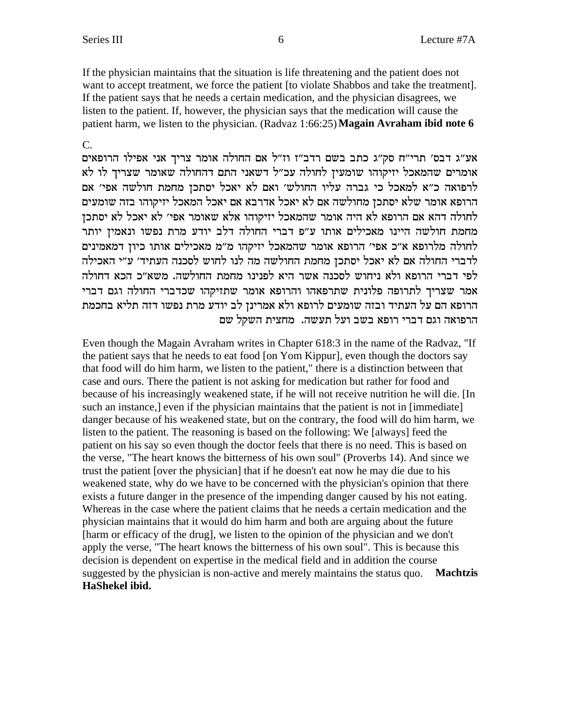If the physician maintains that the situation is life threatening and the patient does not want to accept treatment, we force the patient [to violate Shabbos and take the treatment]. If the patient says that he needs a certain medication, and the physician disagrees, we listen to the patient. If, however, the physician says that the medication will cause the patient harm, we listen to the physician. (Radvaz 1:66:25) **Magain Avraham ibid note 6** 

 $\overline{C}$ .

אע״ג דבס׳ תרי״ח סק״ג כתב בשם רדב״ז וז״ל אם החולה אומר צריך אני אפילו הרופאים אומרים שהמאכל יזיקוהו שומעין לחולה עכ"ל דשאני התם דהחולה שאומר שצריך לו לא לרפואה כ"א למאכל כי גברה עליו החולש' ואם לא יאכל יסתכן מחמת חולשה אפי' אם הרופא אומר שלא יסתכן מחולשה אם לא יאכל אדרבא אם יאכל המאכל יזיקוהו בזה שומעים לחולה דהא אם הרופא לא היה אומר שהמאכל יזיקוהו אלא שאומר אפי׳ לא יאכל לא יסתכן מחמת חולשה היינו מאכילים אותו ע"פ דברי החולה דלב יודע מרת נפשו ונאמין יותר לחולה מלרופא א״כ אפי׳ הרופא אומר שהמאכל יזיקהו מ״מ מאכילים אותו כיון דמאמינים לדברי החולה אם לא יאכל יסתכן מחמת החולשה מה לנו לחוש לסכנה העתיד׳ ע״י האכילה לפי דברי הרופא ולא ניחוש לסכנה אשר היא לפנינו מחמת החולשה. משא״כ הכא דחולה אמר שצריך לתרופה פלונית שתרפאהו והרופא אומר שתזיקהו שכדברי החולה וגם דברי הרופא הם על העתיד ובזה שומעים לרופא ולא אמרינן לב יודע מרת נפשו דזה תליא בחכמת הרפואה וגם דברי רופא בשב ועל תעשה. מחצית השקל שם

Even though the Magain Avraham writes in Chapter 618:3 in the name of the Radvaz, "If the patient says that he needs to eat food [on Yom Kippur], even though the doctors say that food will do him harm, we listen to the patient," there is a distinction between that case and ours. There the patient is not asking for medication but rather for food and because of his increasingly weakened state, if he will not receive nutrition he will die. [In such an instance,] even if the physician maintains that the patient is not in [immediate] danger because of his weakened state, but on the contrary, the food will do him harm, we listen to the patient. The reasoning is based on the following: We [always] feed the patient on his say so even though the doctor feels that there is no need. This is based on the verse, "The heart knows the bitterness of his own soul" (Proverbs 14). And since we trust the patient [over the physician] that if he doesn't eat now he may die due to his weakened state, why do we have to be concerned with the physician's opinion that there exists a future danger in the presence of the impending danger caused by his not eating. Whereas in the case where the patient claims that he needs a certain medication and the physician maintains that it would do him harm and both are arguing about the future [harm or efficacy of the drug], we listen to the opinion of the physician and we don't apply the verse, "The heart knows the bitterness of his own soul". This is because this decision is dependent on expertise in the medical field and in addition the course suggested by the physician is non-active and merely maintains the status quo. Machtzis HaShekel ibid.

6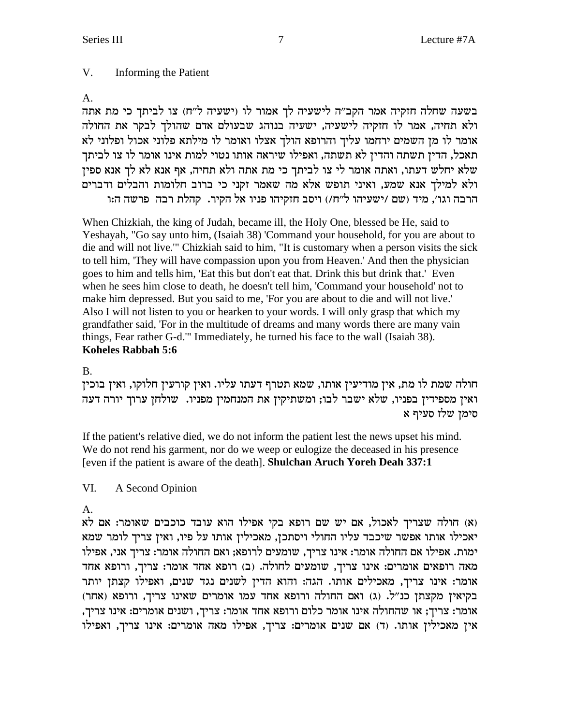#### V. Informing the Patient

# $A_{1}$

בשעה שחלה חזקיה אמר הקב"ה לישעיה לך אמור לו (ישעיה ל"ח) צו לביתך כי מת אתה ולא תחיה, אמר לו חזקיה לישעיה, ישעיה בנוהג שבעולם אדם שהולך לבקר את החולה אומר לו מן השמים ירחמו עליך והרופא הולך אצלו ואומר לו מילתא פלוני אכול ופלוני לא תאכל, הדין תשתה והדין לא תשתה, ואפילו שיראה אותו נטוי למות אינו אומר לו צו לביתך שלא יחלש דעתו, ואתה אומר לי צו לביתך כי מת אתה ולא תחיה, אף אנא לא לך אנא ספין ולא למילך אנא שמע, ואיני תופש אלא מה שאמר זקני כי ברוב חלומות והבלים ודברים הרבה וגו׳, מיד (שם /ישעיהו ל"ח/) ויסב חזקיהו פניו אל הקיר. קהלת רבה פרשה ה:ו

When Chizkiah, the king of Judah, became ill, the Holy One, blessed be He, said to Yeshayah, "Go say unto him, (Isaiah 38) 'Command your household, for you are about to die and will not live." Chizkiah said to him, "It is customary when a person visits the sick to tell him, 'They will have compassion upon you from Heaven.' And then the physician goes to him and tells him, 'Eat this but don't eat that. Drink this but drink that.' Even when he sees him close to death, he doesn't tell him, 'Command your household' not to make him depressed. But you said to me, 'For you are about to die and will not live.' Also I will not listen to you or hearken to your words. I will only grasp that which my grandfather said, 'For in the multitude of dreams and many words there are many vain things, Fear rather G-d."' Immediately, he turned his face to the wall (Isaiah 38). Koheles Rabbah 5:6

# **B.**

חולה שמת לו מת, אין מודיעין אותו, שמא תטרף דעתו עליו. ואין קורעין חלוקו, ואין בוכין ואין מספידין בפניו, שלא ישבר לבו; ומשתיקין את המנחמין מפניו. שולחן ערוך יורה דעה סימן שלו סעיף א

If the patient's relative died, we do not inform the patient lest the news upset his mind. We do not rend his garment, nor do we weep or eulogize the deceased in his presence [even if the patient is aware of the death]. Shulchan Aruch Yoreh Deah 337:1

### VI. A Second Opinion

# A.

(א) חולה שצריך לאכול, אם יש שם רופא בקי אפילו הוא עובד כוכבים שאומר: אם לא יאכילו אותו אפשר שיכבד עליו החולי ויסתכן, מאכילין אותו על פיו, ואין צריך לומר שמא ימות. אפילו אם החולה אומר: אינו צריך, שומעים לרופא; ואם החולה אומר: צריך אני, אפילו מאה רופאים אומרים: אינו צריך, שומעים לחולה. (ב) רופא אחד אומר: צריך, ורופא אחד אומר: אינו צריך, מאכילים אותו. הגה: והוא הדין לשנים נגד שנים, ואפילו קצתן יותר בקיאין מקצתן כנ"ל. (ג) ואם החולה ורופא אחד עמו אומרים שאינו צריך, ורופא (אחר) אומר: צריך; או שהחולה אינו אומר כלום ורופא אחד אומר: צריך, ושנים אומרים: אינו צריך, אין מאכילין אותו. (ד) אם שנים אומרים: צריך, אפילו מאה אומרים: אינו צריך, ואפילו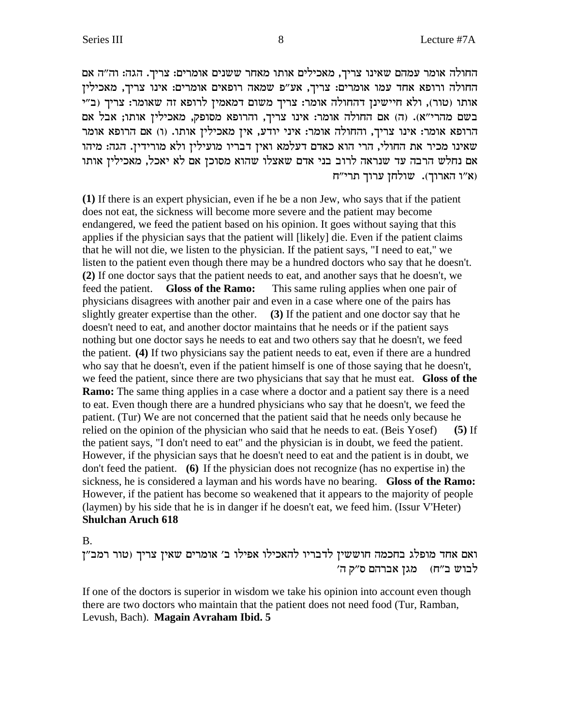החולה אומר עמהם שאינו צריך, מאכילים אותו מאחר ששנים אומרים: צריך. הגה: וה"ה אם החולה ורופא אחד עמו אומרים: צריך, אע"פ שמאה רופאים אומרים: אינו צריך, מאכילין אותו (טור), ולא חיישינן דהחולה אומר: צריך משום דמאמין לרופא זה שאומר: צריך (ב"י בשם מהרי"א). (ה) אם החולה אומר: אינו צריך, והרופא מסופק, מאכילין אותו; אבל אם הרופא אומר: אינו צריך, והחולה אומר: איני יודע, אין מאכילין אותו. (ו) אם הרופא אומר שאינו מכיר את החולי, הרי הוא כאדם דעלמא ואין דבריו מועילין ולא מורידין. הגה: מיהו אם נחלש הרבה עד שנראה לרוב בני אדם שאצלו שהוא מסוכן אם לא יאכל, מאכילין אותו ואין הארוד). שולחז ערוד תרי"ח  $\mathfrak{w}$ 

**(1)** If there is an expert physician, even if he be a non Jew, who says that if the patient does not eat, the sickness will become more severe and the patient may become endangered, we feed the patient based on his opinion. It goes without saying that this applies if the physician says that the patient will [likely] die. Even if the patient claims that he will not die, we listen to the physician. If the patient says, "I need to eat," we listen to the patient even though there may be a hundred doctors who say that he doesn't. **(2)** If one doctor says that the patient needs to eat, and another says that he doesn't, we feed the patient. **Gloss of the Ramo:** This same ruling applies when one pair of physicians disagrees with another pair and even in a case where one of the pairs has slightly greater expertise than the other. **(3)** If the patient and one doctor say that he doesn't need to eat, and another doctor maintains that he needs or if the patient says nothing but one doctor says he needs to eat and two others say that he doesn't, we feed the patient. **(4)** If two physicians say the patient needs to eat, even if there are a hundred who say that he doesn't, even if the patient himself is one of those saying that he doesn't, we feed the patient, since there are two physicians that say that he must eat. **Gloss of the Ramo:** The same thing applies in a case where a doctor and a patient say there is a need to eat. Even though there are a hundred physicians who say that he doesn't, we feed the patient. (Tur) We are not concerned that the patient said that he needs only because he relied on the opinion of the physician who said that he needs to eat. (Beis Yosef) **(5)** If the patient says, "I don't need to eat" and the physician is in doubt, we feed the patient. However, if the physician says that he doesn't need to eat and the patient is in doubt, we don't feed the patient. **(6)** If the physician does not recognize (has no expertise in) the sickness, he is considered a layman and his words have no bearing. **Gloss of the Ramo:** However, if the patient has become so weakened that it appears to the majority of people (laymen) by his side that he is in danger if he doesn't eat, we feed him. (Issur V'Heter) **Shulchan Aruch 618**

B.

ואם אחד מופלג בחכמה חוששין לדבריו להאכילו אפילו ב' אומרים שאין צריך (טור רמב"ן לבוש ב"ח) מגן אברהם ס"ק ה'

If one of the doctors is superior in wisdom we take his opinion into account even though there are two doctors who maintain that the patient does not need food (Tur, Ramban, Levush, Bach). **Magain Avraham Ibid. 5**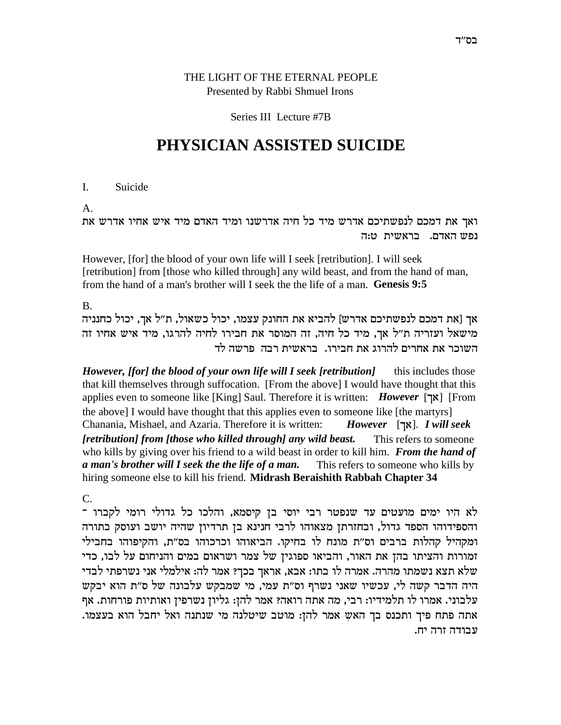# THE LIGHT OF THE ETERNAL PEOPLE Presented by Rabbi Shmuel Irons

## Series III Lecture #7B

# **PHYSICIAN ASSISTED SUICIDE**

I. Suicide

A.

ואך את דמכם לנפשתיכם אדרש מיד כל חיה אדרשנו ומיד האדם מיד איש אחיו אדרש את נפש האדם. בראשית ט:ה

However, [for] the blood of your own life will I seek [retribution]. I will seek [retribution] from [those who killed through] any wild beast, and from the hand of man, from the hand of a man's brother will I seek the the life of a man. **Genesis 9:5**

B.

אך [את דמכם לנפשתיכם אדרש] להביא את החונק עצמו, יכול כשאול, ת"ל אך, יכול כחנניה מישאל ועזריה ת"ל אך, מיד כל חיה, זה המוסר את חבירו לחיה להרגו, מיד איש אחיו זה השוכר את אחרים להרוג את חבירו. בראשית רבה פרשה לד

*However, [for] the blood of your own life will I seek [retribution]* this includes those that kill themselves through suffocation. [From the above] I would have thought that this applies even to someone like [King] Saul. Therefore it is written: *However* [אך] [From the above] I would have thought that this applies even to someone like [the martyrs] Chanania, Mishael, and Azaria. Therefore it is written: *However* [j`]. *I will seek [retribution] from [those who killed through] any wild beast.* This refers to someone who kills by giving over his friend to a wild beast in order to kill him. *From the hand of a man's brother will I seek the the life of a man.* This refers to someone who kills by hiring someone else to kill his friend. **Midrash Beraishith Rabbah Chapter 34**

C.

 $\dot{\phantom{\phi}}$ לא היו ימים מועטים עד שנפטר רבי יוסי בן קיסמא, והלכו כל גדולי רומי לקברו והספידוהו הספד גדול, ובחזרתן מצאוהו לרבי חנינא בן תרדיון שהיה יושב ועוסק בתורה ומקהיל קהלות ברבים וס״ת מונח לו בחיקו. הביאוהו וכרכוהו בס״ת, והקיפוהו בחבילי iמורות והציתו בהן את האור, והביאו ספוגין של צמר ושראום במים והניחום על לבו, כדי שלא תצא נשמתו מהרה. אמרה לו בתו: אבא, אראך בכך? אמר לה: אילמלי אני נשרפתי לבדי היה הדבר קשה לי, עכשיו שאני נשרף וס"ת עמי, מי שמבקש עלבונה של ס"ת הוא יבקש עלבוני. אמרו לו תלמידיו: רבי, מה אתה רואה? אמר להן: גליון נשרפין ואותיות פורחות. אף .<br>אתה פתח פיך ותכנס בך האש אמר להן: מוטב שיטלנה מי שנתנה ואל יחבל הוא בעצמו עבודה זרה יח.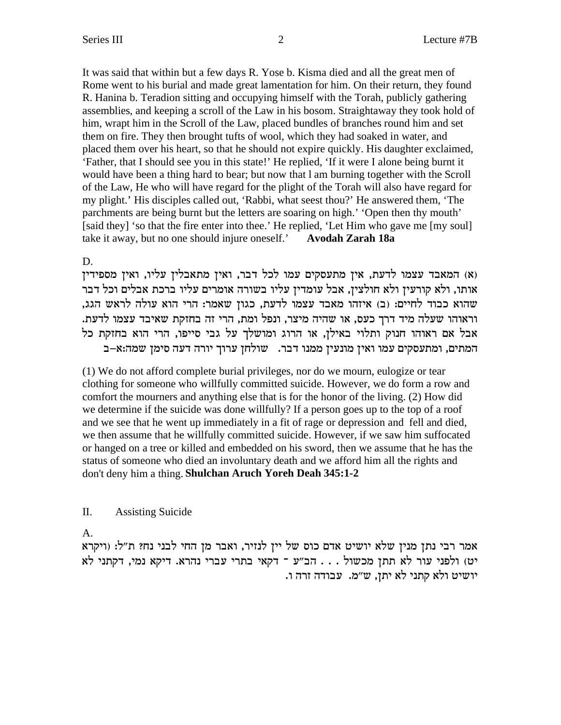It was said that within but a few days R. Yose b. Kisma died and all the great men of Rome went to his burial and made great lamentation for him. On their return, they found R. Hanina b. Teradion sitting and occupying himself with the Torah, publicly gathering assemblies, and keeping a scroll of the Law in his bosom. Straightaway they took hold of him, wrapt him in the Scroll of the Law, placed bundles of branches round him and set them on fire. They then brought tufts of wool, which they had soaked in water, and placed them over his heart, so that he should not expire quickly. His daughter exclaimed, 'Father, that I should see you in this state!' He replied, 'If it were I alone being burnt it would have been a thing hard to bear; but now that I am burning together with the Scroll of the Law, He who will have regard for the plight of the Torah will also have regard for my plight.' His disciples called out, 'Rabbi, what seest thou?' He answered them, 'The parchments are being burnt but the letters are soaring on high.' 'Open then thy mouth' [said they] 'so that the fire enter into thee.' He replied, 'Let Him who gave me [my soul] take it away, but no one should injure oneself.' **Avodah Zarah 18a** 

# D.

(א) המאבד עצמו לדעת, אין מתעסקים עמו לכל דבר, ואין מתאבלין עליו, ואין מספידין אותו, ולא קורעין ולא חולצין, אבל עומדין עליו בשורה אומרים עליו ברכת אבלים וכל דבר שהוא כבוד לחיים: (ב) איזהו מאבד עצמו לדעת, כגון שאמר: הרי הוא עולה לראש הגג, וראוהו שעלה מיד דרך כעס, או שהיה מיצר, ונפל ומת, הרי זה בחזקת שאיבד עצמו לדעת. אבל אם ראוהו חנוק ותלוי באילן, או הרוג ומושלך על גבי סייפו, הרי הוא בחזקת כל המתים, ומתעסקים עמו ואין מונעין ממנו דבר. שולחן ערוך יורה דעה סימן שמה:א-ב

(1) We do not afford complete burial privileges, nor do we mourn, eulogize or tear clothing for someone who willfully committed suicide. However, we do form a row and comfort the mourners and anything else that is for the honor of the living. (2) How did we determine if the suicide was done willfully? If a person goes up to the top of a roof and we see that he went up immediately in a fit of rage or depression and fell and died, we then assume that he willfully committed suicide. However, if we saw him suffocated or hanged on a tree or killed and embedded on his sword, then we assume that he has the status of someone who died an involuntary death and we afford him all the rights and don't deny him a thing. Shulchan Aruch Yoreh Deah 345:1-2

### П. **Assisting Suicide**

A.

אמר רבי נתן מנין שלא יושיט אדם כוס של יין לנזיר, ואבר מן החי לבני נח? ת"ל: (ויקרא יט) ולפני עור לא תתן מכשול . . . הב"ע ־ דקאי בתרי עברי נהרא. דיקא נמי, דקתני לא יושיט ולא קתני לא יתן, ש"מ. עבודה זרה ו.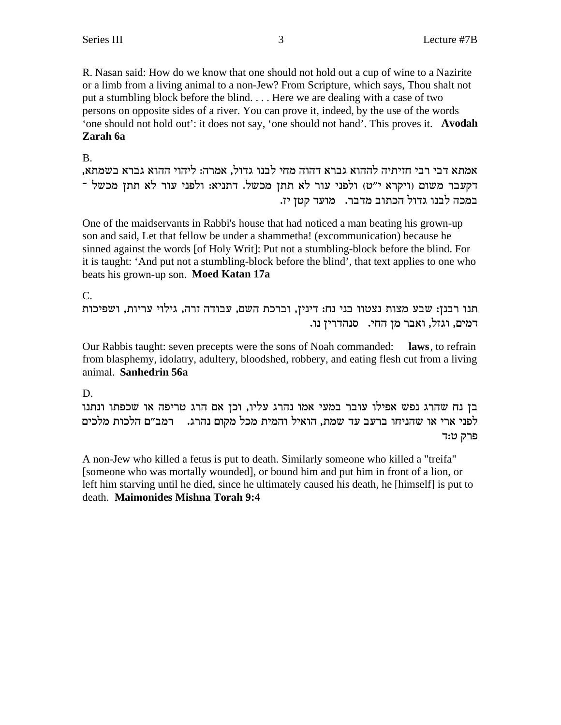R. Nasan said: How do we know that one should not hold out a cup of wine to a Nazirite or a limb from a living animal to a non-Jew? From Scripture, which says, Thou shalt not put a stumbling block before the blind. . . . Here we are dealing with a case of two persons on opposite sides of a river. You can prove it, indeed, by the use of the words 'one should not hold out': it does not say, 'one should not hand'. This proves it. **Avodah Zarah 6a**

## B.

,אמתא דבי רבי חזיתיה לההוא גברא דהוה מחי לבנו גדול, אמרה: ליהוי ההוא גברא בשמתא רקעבר משום (ויקרא י"ט) ולפני עור לא תתן מכשל. דתניא: ולפני עור לא תתן מכשל <sup>-</sup> במכה לבנו גדול הכתוב מדבר. מועד קטן יז.

One of the maidservants in Rabbi's house that had noticed a man beating his grown-up son and said, Let that fellow be under a shammetha! (excommunication) because he sinned against the words [of Holy Writ]: Put not a stumbling-block before the blind. For it is taught: 'And put not a stumbling-block before the blind', that text applies to one who beats his grown-up son. **Moed Katan 17a**

C.

תנו רבנז: שבע מצות נצטוו בני נח: דיניז, וברכת השם, עבודה זרה, גילוי עריות, ושפיכות .<br>דמים, וגזל, ואבר מז החי. | סנהדריז נו

Our Rabbis taught: seven precepts were the sons of Noah commanded: **laws**, to refrain from blasphemy, idolatry, adultery, bloodshed, robbery, and eating flesh cut from a living animal. **Sanhedrin 56a**

D.

בן נח שהרג נפש אפילו עובר במעי אמו נהרג עליו, וכן אם הרג טריפה או שכפתו ונתנו לפני ארי או שהניחו ברעב עד שמת, הואיל והמית מכל מקום נהרג. רמב״ם הלכות מלכים פרק ט:ד

A non-Jew who killed a fetus is put to death. Similarly someone who killed a "treifa" [someone who was mortally wounded], or bound him and put him in front of a lion, or left him starving until he died, since he ultimately caused his death, he [himself] is put to death. **Maimonides Mishna Torah 9:4**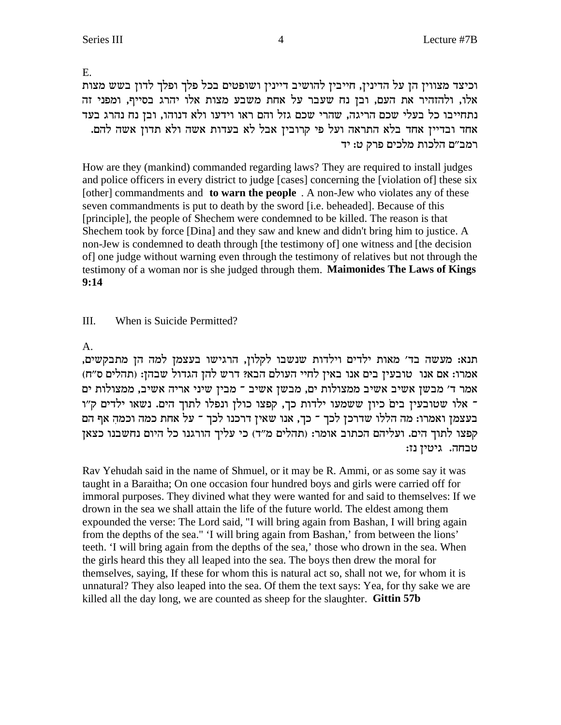E.

וכיצד מצווין הן על הדינין, חייבין להושיב דיינין ושופטים בכל פלך ופלך לדון בשש מצות אלו, ולהזהיר את העם, ובן נח שעבר על אחת משבע מצות אלו יהרג בסייף, ומפני זה נתחייבו כל בעלי שכם הריגה, שהרי שכם גזל והם ראו וידעו ולא דנוהו, ובן נח נהרג בעד אחד ובדיין אחד בלא התראה ועל פי קרובין אבל לא בעדות אשה ולא תדון אשה להם. רמב״ם הלכות מלכים פרק ט: יד

How are they (mankind) commanded regarding laws? They are required to install judges and police officers in every district to judge [cases] concerning the [violation of] these six [other] commandments and **to warn the people**. A non-Jew who violates any of these seven commandments is put to death by the sword [i.e. beheaded]. Because of this [principle], the people of Shechem were condemned to be killed. The reason is that Shechem took by force [Dina] and they saw and knew and didn't bring him to justice. A non-Jew is condemned to death through [the testimony of] one witness and [the decision of] one judge without warning even through the testimony of relatives but not through the testimony of a woman nor is she judged through them. Maimonides The Laws of Kings  $9:14$ 

### III. When is Suicide Permitted?

 $A<sub>1</sub>$ 

תנא: מעשה בד' מאות ילדים וילדות שנשבו לקלון, הרגישו בעצמן למה הן מתבקשים, אמרו: אם אנו | טובעין בים אנו באין לחיי העולם הבא? דרש להן הגדול שבהן: (תהלים ס"ח) האמר ד' מבשן אשיב אשיב ממצולות ים, מבשן אשיב ־ מבין שיני אריה אשיב, ממצולות ים ־ אלו שטובעין בים כיון ששמעו ילדות כך, קפצו כולן ונפלו לתוך הים. נשאו ילדים ק"ו בעצמן ואמרו: מה הללו שדרכן לכך ־ כך, אנו שאין דרכנו לכך ־ על אחת כמה וכמה אף הם קפצו לתוך הים. ועליהם הכתוב אומר: (תהלים מ״ד) כי עליך הורגנו כל היום נחשבנו כצאז טבחה. גיטין נז:

Rav Yehudah said in the name of Shmuel, or it may be R. Ammi, or as some say it was taught in a Baraitha; On one occasion four hundred boys and girls were carried off for immoral purposes. They divined what they were wanted for and said to themselves: If we drown in the sea we shall attain the life of the future world. The eldest among them expounded the verse: The Lord said, "I will bring again from Bashan, I will bring again from the depths of the sea." 'I will bring again from Bashan,' from between the lions' teeth. I will bring again from the depths of the sea,' those who drown in the sea. When the girls heard this they all leaped into the sea. The boys then drew the moral for themselves, saying, If these for whom this is natural act so, shall not we, for whom it is unnatural? They also leaped into the sea. Of them the text says: Yea, for thy sake we are killed all the day long, we are counted as sheep for the slaughter. Gittin 57b